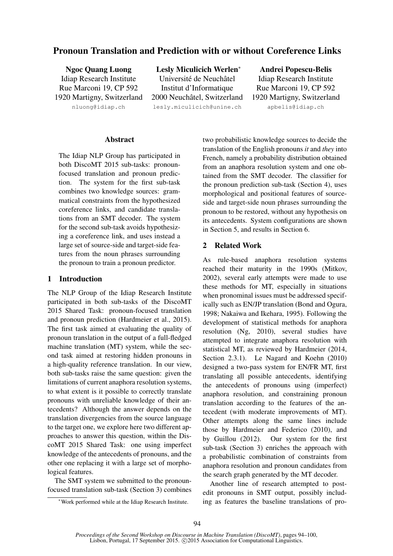# Pronoun Translation and Prediction with or without Coreference Links

Ngoc Quang Luong Idiap Research Institute Rue Marconi 19, CP 592 1920 Martigny, Switzerland nluong@idiap.ch

Lesly Miculicich Werlen<sup>∗</sup> Université de Neuchâtel Institut d'Informatique 2000 Neuchâtel, Switzerland lesly.miculicich@unine.ch

Andrei Popescu-Belis Idiap Research Institute Rue Marconi 19, CP 592 1920 Martigny, Switzerland apbelis@idiap.ch

#### **Abstract**

The Idiap NLP Group has participated in both DiscoMT 2015 sub-tasks: pronounfocused translation and pronoun prediction. The system for the first sub-task combines two knowledge sources: grammatical constraints from the hypothesized coreference links, and candidate translations from an SMT decoder. The system for the second sub-task avoids hypothesizing a coreference link, and uses instead a large set of source-side and target-side features from the noun phrases surrounding the pronoun to train a pronoun predictor.

## 1 Introduction

The NLP Group of the Idiap Research Institute participated in both sub-tasks of the DiscoMT 2015 Shared Task: pronoun-focused translation and pronoun prediction (Hardmeier et al., 2015). The first task aimed at evaluating the quality of pronoun translation in the output of a full-fledged machine translation (MT) system, while the second task aimed at restoring hidden pronouns in a high-quality reference translation. In our view, both sub-tasks raise the same question: given the limitations of current anaphora resolution systems, to what extent is it possible to correctly translate pronouns with unreliable knowledge of their antecedents? Although the answer depends on the translation divergencies from the source language to the target one, we explore here two different approaches to answer this question, within the DiscoMT 2015 Shared Task: one using imperfect knowledge of the antecedents of pronouns, and the other one replacing it with a large set of morphological features.

The SMT system we submitted to the pronounfocused translation sub-task (Section 3) combines two probabilistic knowledge sources to decide the translation of the English pronouns *it* and *they* into French, namely a probability distribution obtained from an anaphora resolution system and one obtained from the SMT decoder. The classifier for the pronoun prediction sub-task (Section 4), uses morphological and positional features of sourceside and target-side noun phrases surrounding the pronoun to be restored, without any hypothesis on its antecedents. System configurations are shown in Section 5, and results in Section 6.

# 2 Related Work

As rule-based anaphora resolution systems reached their maturity in the 1990s (Mitkov, 2002), several early attempts were made to use these methods for MT, especially in situations when pronominal issues must be addressed specifically such as EN/JP translation (Bond and Ogura, 1998; Nakaiwa and Ikehara, 1995). Following the development of statistical methods for anaphora resolution (Ng, 2010), several studies have attempted to integrate anaphora resolution with statistical MT, as reviewed by Hardmeier (2014, Section 2.3.1). Le Nagard and Koehn (2010) designed a two-pass system for EN/FR MT, first translating all possible antecedents, identifying the antecedents of pronouns using (imperfect) anaphora resolution, and constraining pronoun translation according to the features of the antecedent (with moderate improvements of MT). Other attempts along the same lines include those by Hardmeier and Federico (2010), and by Guillou (2012). Our system for the first sub-task (Section 3) enriches the approach with a probabilistic combination of constraints from anaphora resolution and pronoun candidates from the search graph generated by the MT decoder.

Another line of research attempted to postedit pronouns in SMT output, possibly including as features the baseline translations of pro-

<sup>∗</sup>Work performed while at the Idiap Research Institute.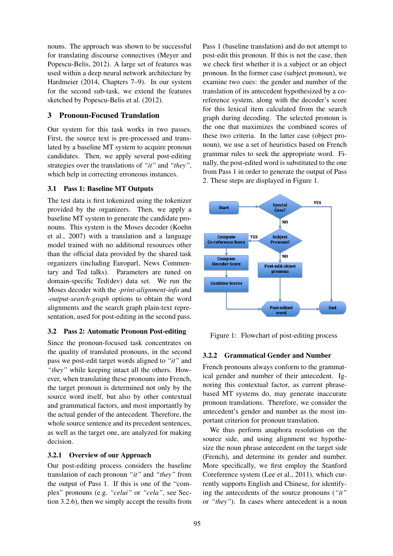nouns. The approach was shown to be successful for translating discourse connectives (Meyer and Popescu-Belis, 2012). A large set of features was used within a deep neural network architecture by Hardmeier (2014, Chapters 7–9). In our system for the second sub-task, we extend the features sketched by Popescu-Belis et al. (2012).

# 3 Pronoun-Focused Translation

Our system for this task works in two passes. First, the source text is pre-processed and translated by a baseline MT system to acquire pronoun candidates. Then, we apply several post-editing strategies over the translations of *"it"* and *"they"*, which help in correcting erroneous instances.

### 3.1 Pass 1: Baseline MT Outputs

The test data is first tokenized using the tokenizer provided by the organizers. Then, we apply a baseline MT system to generate the candidate pronouns. This system is the Moses decoder (Koehn et al., 2007) with a translation and a language model trained with no additional resources other than the official data provided by the shared task organizers (including Europarl, News Commentary and Ted talks). Parameters are tuned on domain-specific Ted(dev) data set. We run the Moses decoder with the *-print-alignment-info* and *-output-search-graph* options to obtain the word alignments and the search graph plain-text representation, used for post-editing in the second pass.

#### 3.2 Pass 2: Automatic Pronoun Post-editing

Since the pronoun-focused task concentrates on the quality of translated pronouns, in the second pass we post-edit target words aligned to *"it"* and *"they"* while keeping intact all the others. However, when translating these pronouns into French, the target pronoun is determined not only by the source word itself, but also by other contextual and grammatical factors, and most importantly by the actual gender of the antecedent. Therefore, the whole source sentence and its precedent sentences, as well as the target one, are analyzed for making decision.

#### 3.2.1 Overview of our Approach

Our post-editing process considers the baseline translation of each pronoun *"it"* and *"they"* from the output of Pass 1. If this is one of the "complex" pronouns (e.g. *"celui"* or *"cela"*, see Section 3.2.6), then we simply accept the results from

Pass 1 (baseline translation) and do not attempt to post-edit this pronoun. If this is not the case, then we check first whether it is a subject or an object pronoun. In the former case (subject pronoun), we examine two cues: the gender and number of the translation of its antecedent hypothesized by a coreference system, along with the decoder's score for this lexical item calculated from the search graph during decoding. The selected pronoun is the one that maximizes the combined scores of these two criteria. In the latter case (object pronoun), we use a set of heuristics based on French grammar rules to seek the appropriate word. Finally, the post-edited word is substituted to the one from Pass 1 in order to generate the output of Pass 2. These steps are displayed in Figure 1.



Figure 1: Flowchart of post-editing process

#### 3.2.2 Grammatical Gender and Number

French pronouns always conform to the grammatical gender and number of their antecedent. Ignoring this contextual factor, as current phrasebased MT systems do, may generate inaccurate pronoun translations. Therefore, we consider the antecedent's gender and number as the most important criterion for pronoun translation.

We thus perform anaphora resolution on the source side, and using alignment we hypothesize the noun phrase antecedent on the target side (French), and determine its gender and number. More specifically, we first employ the Stanford Coreference system (Lee et al., 2011), which currently supports English and Chinese, for identifying the antecedents of the source pronouns (*"it"* or *"they"*). In cases where antecedent is a noun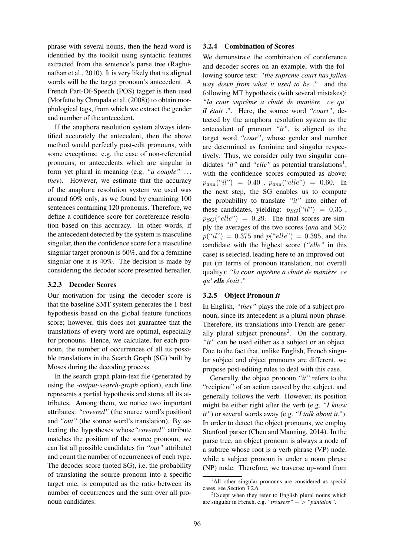phrase with several nouns, then the head word is identified by the toolkit using syntactic features extracted from the sentence's parse tree (Raghunathan et al., 2010). It is very likely that its aligned words will be the target pronoun's antecedent. A French Part-Of-Speech (POS) tagger is then used (Morfette by Chrupala et al. (2008)) to obtain morphological tags, from which we extract the gender and number of the antecedent.

If the anaphora resolution system always identified accurately the antecedent, then the above method would perfectly post-edit pronouns, with some exceptions: e.g. the case of non-referential pronouns, or antecedents which are singular in form yet plural in meaning (e.g. *"a couple"* . . . *they*). However, we estimate that the accuracy of the anaphora resolution system we used was around 60% only, as we found by examining 100 sentences containing 120 pronouns. Therefore, we define a confidence score for coreference resolution based on this accuracy. In other words, if the antecedent detected by the system is masculine singular, then the confidence score for a masculine singular target pronoun is 60%, and for a feminine singular one it is 40%. The decision is made by considering the decoder score presented hereafter.

#### 3.2.3 Decoder Scores

Our motivation for using the decoder score is that the baseline SMT system generates the 1-best hypothesis based on the global feature functions score; however, this does not guarantee that the translations of every word are optimal, especially for pronouns. Hence, we calculate, for each pronoun, the number of occurrences of all its possible translations in the Search Graph (SG) built by Moses during the decoding process.

In the search graph plain-text file (generated by using the *-output-search-graph* option), each line represents a partial hypothesis and stores all its attributes. Among them, we notice two important attributes: *"covered"* (the source word's position) and *"out"* (the source word's translation). By selecting the hypotheses whose*"covered"* attribute matches the position of the source pronoun, we can list all possible candidates (in *"out"* attribute) and count the number of occurrences of each type. The decoder score (noted SG), i.e. the probability of translating the source pronoun into a specific target one, is computed as the ratio between its number of occurrences and the sum over all pronoun candidates.

### 3.2.4 Combination of Scores

We demonstrate the combination of coreference and decoder scores on an example, with the following source text: *"the supreme court has fallen way down from what it used to be ."* and the following MT hypothesis (with several mistakes): *"*la cour suprême a chuté de manière ce qu' *il était* ." Here, the source word "court", detected by the anaphora resolution system as the antecedent of pronoun *"it"*, is aligned to the target word *"cour"*, whose gender and number are determined as feminine and singular respectively. Thus, we consider only two singular candidates "il" and "elle" as potential translations<sup>1</sup>, with the confidence scores computed as above:  $p_{ana}("il") = 0.40$ ,  $p_{ana}("ell" ) = 0.60$ . In the next step, the SG enables us to compute the probability to translate *"it"* into either of these candidates, yielding:  $p_{SG}("il") = 0.35$ ,  $p_{SG}("elle") = 0.29$ . The final scores are simply the averages of the two scores (*ana* and *SG*):  $p("il") = 0.375$  and  $p("ell e") = 0.395$ , and the candidate with the highest score (*"elle"* in this case) is selected, leading here to an improved output (in terms of pronoun translation, not overall quality): *"la cour supreme a chut ˆ e de mani ´ ere ce ` qu' elle etait ." ´*

### 3.2.5 Object Pronoun *It*

In English, *"they"* plays the role of a subject pronoun, since its antecedent is a plural noun phrase. Therefore, its translations into French are generally plural subject pronouns<sup>2</sup>. On the contrary, *"it"* can be used either as a subject or an object. Due to the fact that, unlike English, French singular subject and object pronouns are different, we propose post-editing rules to deal with this case.

Generally, the object pronoun *"it"* refers to the "recipient" of an action caused by the subject, and generally follows the verb. However, its position might be either right after the verb (e.g. *"I know it"*) or several words away (e.g. *"I talk about it."*). In order to detect the object pronouns, we employ Stanford parser (Chen and Manning, 2014). In the parse tree, an object pronoun is always a node of a subtree whose root is a verb phrase (VP) node, while a subject pronoun is under a noun phrase (NP) node. Therefore, we traverse up-ward from

<sup>&</sup>lt;sup>1</sup>All other singular pronouns are considered as special cases, see Section 3.2.6.

 ${}^{2}$ Except when they refer to English plural nouns which are singular in French, e.g. *"trousers"* − > *"pantalon"*.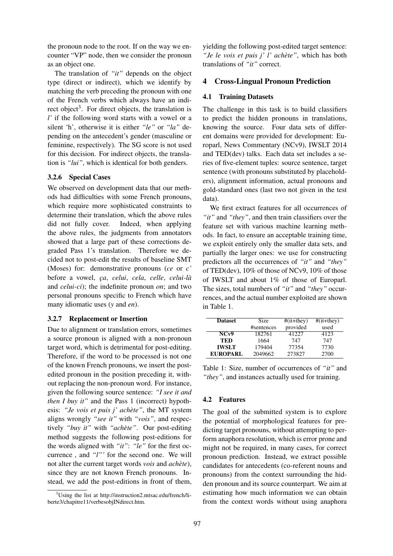the pronoun node to the root. If on the way we encounter "VP" node, then we consider the pronoun as an object one.

The translation of *"it"* depends on the object type (direct or indirect), which we identify by matching the verb preceding the pronoun with one of the French verbs which always have an indirect object<sup>3</sup>. For direct objects, the translation is *l'* if the following word starts with a vowel or a silent 'h', otherwise it is either *"le"* or *"la"* depending on the antecedent's gender (masculine or feminine, respectively). The SG score is not used for this decision. For indirect objects, the translation is *"lui"*, which is identical for both genders.

### 3.2.6 Special Cases

We observed on development data that our methods had difficulties with some French pronouns, which require more sophisticated constraints to determine their translation, which the above rules did not fully cover. Indeed, when applying the above rules, the judgments from annotators showed that a large part of these corrections degraded Pass 1's translation. Therefore we decided not to post-edit the results of baseline SMT (Moses) for: demonstrative pronouns (*ce* or *c'* before a vowel, *c¸a*, *celui*, *cela*, *celle*, *celui-la`* and *celui-ci*); the indefinite pronoun *on*; and two personal pronouns specific to French which have many idiomatic uses (*y* and *en*).

#### 3.2.7 Replacement or Insertion

Due to alignment or translation errors, sometimes a source pronoun is aligned with a non-pronoun target word, which is detrimental for post-editing. Therefore, if the word to be processed is not one of the known French pronouns, we insert the postedited pronoun in the position preceding it, without replacing the non-pronoun word. For instance, given the following source sentence: *"I see it and then I buy it"* and the Pass 1 (incorrect) hypothesis: *"Je vois et puis j' achète"*, the MT system aligns wrongly *"see it"* with *"vois"*, and respectively *"buy it"* with *"achete" `* . Our post-editing method suggests the following post-editions for the words aligned with *"it"*: *"le"* for the first occurrence , and *"l"'* for the second one. We will not alter the current target words *vois* and *achete `* ), since they are not known French pronouns. Instead, we add the post-editions in front of them, yielding the following post-edited target sentence: "*Je le vois et puis j' l' achète"*, which has both translations of *"it"* correct.

### 4 Cross-Lingual Pronoun Prediction

### 4.1 Training Datasets

The challenge in this task is to build classifiers to predict the hidden pronouns in translations, knowing the source. Four data sets of different domains were provided for development: Europarl, News Commentary (NCv9), IWSLT 2014 and TED(dev) talks. Each data set includes a series of five-element tuples: source sentence, target sentence (with pronouns substituted by placeholders), alignment information, actual pronouns and gold-standard ones (last two not given in the test data).

We first extract features for all occurrences of *"it"* and *"they"*, and then train classifiers over the feature set with various machine learning methods. In fact, to ensure an acceptable training time, we exploit entirely only the smaller data sets, and partially the larger ones: we use for constructing predictors all the occurrences of *"it"* and *"they"* of TED(dev), 10% of those of NCv9, 10% of those of IWSLT and about 1% of those of Europarl. The sizes, total numbers of *"it"* and *"they"* occurrences, and the actual number exploited are shown in Table 1.

| <b>Dataset</b>  | Size       | $#(it+they)$ | $#(it+they)$ |
|-----------------|------------|--------------|--------------|
|                 | #sentences | provided     | used         |
| NCv9            | 182761     | 41227        | 4123         |
| <b>TED</b>      | 1664       | 747          | 747          |
| <b>IWSLT</b>    | 179404     | 77354        | 7730         |
| <b>EUROPARL</b> | 2049662    | 273827       | 2700         |

Table 1: Size, number of occurrences of *"it"* and *"they"*, and instances actually used for training.

#### 4.2 Features

The goal of the submitted system is to explore the potential of morphological features for predicting target pronouns, without attempting to perform anaphora resolution, which is error prone and might not be required, in many cases, for correct pronoun prediction. Instead, we extract possible candidates for antecedents (co-referent nouns and pronouns) from the context surrounding the hidden pronoun and its source counterpart. We aim at estimating how much information we can obtain from the context words without using anaphora

<sup>&</sup>lt;sup>3</sup>Using the list at http://instruction2.mtsac.edu/french/liberte3/chapitre11/verbesobjINdirect.htm.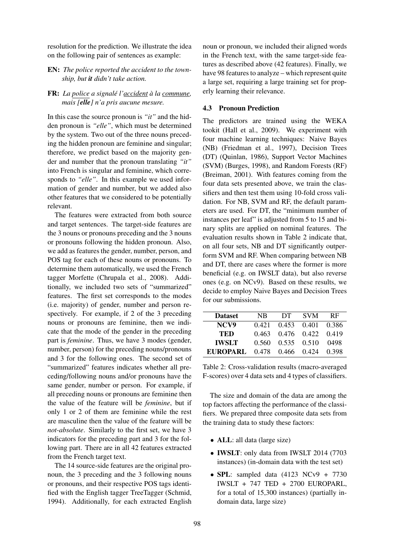resolution for the prediction. We illustrate the idea on the following pair of sentences as example:

EN: *The police reported the accident to the township, but it didn't take action.*

### FR: *La police a signale l'accident ´ a la commune ` , mais [elle] n'a pris aucune mesure.*

In this case the source pronoun is *"it"* and the hidden pronoun is *"elle"*, which must be determined by the system. Two out of the three nouns preceding the hidden pronoun are feminine and singular; therefore, we predict based on the majority gender and number that the pronoun translating *"it"* into French is singular and feminine, which corresponds to *"elle"*. In this example we used information of gender and number, but we added also other features that we considered to be potentially relevant.

The features were extracted from both source and target sentences. The target-side features are the 3 nouns or pronouns preceding and the 3 nouns or pronouns following the hidden pronoun. Also, we add as features the gender, number, person, and POS tag for each of these nouns or pronouns. To determine them automatically, we used the French tagger Morfette (Chrupala et al., 2008). Additionally, we included two sets of "summarized" features. The first set corresponds to the modes (i.e. majority) of gender, number and person respectively. For example, if 2 of the 3 preceding nouns or pronouns are feminine, then we indicate that the mode of the gender in the preceding part is *feminine*. Thus, we have 3 modes (gender, number, person) for the preceding nouns/pronouns and 3 for the following ones. The second set of "summarized" features indicates whether all preceding/following nouns and/or pronouns have the same gender, number or person. For example, if all preceding nouns or pronouns are feminine then the value of the feature will be *feminine*, but if only 1 or 2 of them are feminine while the rest are masculine then the value of the feature will be *not-absolute*. Similarly to the first set, we have 3 indicators for the preceding part and 3 for the following part. There are in all 42 features extracted from the French target text.

The 14 source-side features are the original pronoun, the 3 preceding and the 3 following nouns or pronouns, and their respective POS tags identified with the English tagger TreeTagger (Schmid, 1994). Additionally, for each extracted English

noun or pronoun, we included their aligned words in the French text, with the same target-side features as described above (42 features). Finally, we have 98 features to analyze – which represent quite a large set, requiring a large training set for properly learning their relevance.

### 4.3 Pronoun Prediction

The predictors are trained using the WEKA tookit (Hall et al., 2009). We experiment with four machine learning techniques: Naive Bayes (NB) (Friedman et al., 1997), Decision Trees (DT) (Quinlan, 1986), Support Vector Machines (SVM) (Burges, 1998), and Random Forests (RF) (Breiman, 2001). With features coming from the four data sets presented above, we train the classifiers and then test them using 10-fold cross validation. For NB, SVM and RF, the default parameters are used. For DT, the "minimum number of instances per leaf" is adjusted from 5 to 15 and binary splits are applied on nominal features. The evaluation results shown in Table 2 indicate that, on all four sets, NB and DT significantly outperform SVM and RF. When comparing between NB and DT, there are cases where the former is more beneficial (e.g. on IWSLT data), but also reverse ones (e.g. on NCv9). Based on these results, we decide to employ Naive Bayes and Decision Trees for our submissions.

| <b>Dataset</b> | NB.     | DT.               | <b>SVM</b>        | <b>RF</b> |
|----------------|---------|-------------------|-------------------|-----------|
| NCV9           | 0.421   |                   | 0.453 0.401 0.386 |           |
| TED            | 0.463   |                   | 0.476 0.422 0.419 |           |
| <b>IWSLT</b>   | 0.560 . | 0.535 0.510       |                   | 0498      |
| EUROPARL.      |         | 0.478 0.466 0.424 |                   | 0.398     |

Table 2: Cross-validation results (macro-averaged F-scores) over 4 data sets and 4 types of classifiers.

The size and domain of the data are among the top factors affecting the performance of the classifiers. We prepared three composite data sets from the training data to study these factors:

- **ALL**: all data (large size)
- **IWSLT**: only data from IWSLT 2014 (7703) instances) (in-domain data with the test set)
- SPL: sampled data  $(4123 NCV9 + 7730$ IWSLT + 747 TED + 2700 EUROPARL, for a total of 15,300 instances) (partially indomain data, large size)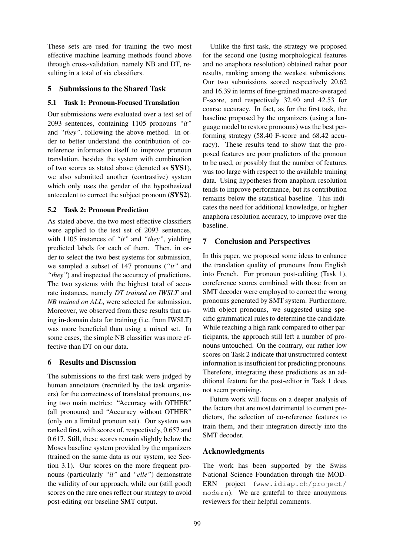These sets are used for training the two most effective machine learning methods found above through cross-validation, namely NB and DT, resulting in a total of six classifiers.

### 5 Submissions to the Shared Task

### 5.1 Task 1: Pronoun-Focused Translation

Our submissions were evaluated over a test set of 2093 sentences, containing 1105 pronouns *"it"* and *"they"*, following the above method. In order to better understand the contribution of coreference information itself to improve pronoun translation, besides the system with combination of two scores as stated above (denoted as SYS1), we also submitted another (contrastive) system which only uses the gender of the hypothesized antecedent to correct the subject pronoun (SYS2).

### 5.2 Task 2: Pronoun Prediction

As stated above, the two most effective classifiers were applied to the test set of 2093 sentences, with 1105 instances of *"it"* and *"they"*, yielding predicted labels for each of them. Then, in order to select the two best systems for submission, we sampled a subset of 147 pronouns (*"it"* and *"they"*) and inspected the accuracy of predictions. The two systems with the highest total of accurate instances, namely *DT trained on IWSLT* and *NB trained on ALL*, were selected for submission. Moreover, we observed from these results that using in-domain data for training (i.e. from IWSLT) was more beneficial than using a mixed set. In some cases, the simple NB classifier was more effective than DT on our data.

### 6 Results and Discussion

The submissions to the first task were judged by human annotators (recruited by the task organizers) for the correctness of translated pronouns, using two main metrics: "Accuracy with OTHER" (all pronouns) and "Accuracy without OTHER" (only on a limited pronoun set). Our system was ranked first, with scores of, respectively, 0.657 and 0.617. Still, these scores remain slightly below the Moses baseline system provided by the organizers (trained on the same data as our system, see Section 3.1). Our scores on the more frequent pronouns (particularly *"il"* and *"elle"*) demonstrate the validity of our approach, while our (still good) scores on the rare ones reflect our strategy to avoid post-editing our baseline SMT output.

Unlike the first task, the strategy we proposed for the second one (using morphological features and no anaphora resolution) obtained rather poor results, ranking among the weakest submissions. Our two submissions scored respectively 20.62 and 16.39 in terms of fine-grained macro-averaged F-score, and respectively 32.40 and 42.53 for coarse accuracy. In fact, as for the first task, the baseline proposed by the organizers (using a language model to restore pronouns) was the best performing strategy (58.40 F-score and 68.42 accuracy). These results tend to show that the proposed features are poor predictors of the pronoun to be used, or possibly that the number of features was too large with respect to the available training data. Using hypotheses from anaphora resolution tends to improve performance, but its contribution remains below the statistical baseline. This indicates the need for additional knowledge, or higher anaphora resolution accuracy, to improve over the baseline.

# 7 Conclusion and Perspectives

In this paper, we proposed some ideas to enhance the translation quality of pronouns from English into French. For pronoun post-editing (Task 1), coreference scores combined with those from an SMT decoder were employed to correct the wrong pronouns generated by SMT system. Furthermore, with object pronouns, we suggested using specific grammatical rules to determine the candidate. While reaching a high rank compared to other participants, the approach still left a number of pronouns untouched. On the contrary, our rather low scores on Task 2 indicate that unstructured context information is insufficient for predicting pronouns. Therefore, integrating these predictions as an additional feature for the post-editor in Task 1 does not seem promising.

Future work will focus on a deeper analysis of the factors that are most detrimental to current predictors, the selection of co-reference features to train them, and their integration directly into the SMT decoder.

### Acknowledgments

The work has been supported by the Swiss National Science Foundation through the MOD-ERN project (www.idiap.ch/project/ modern). We are grateful to three anonymous reviewers for their helpful comments.